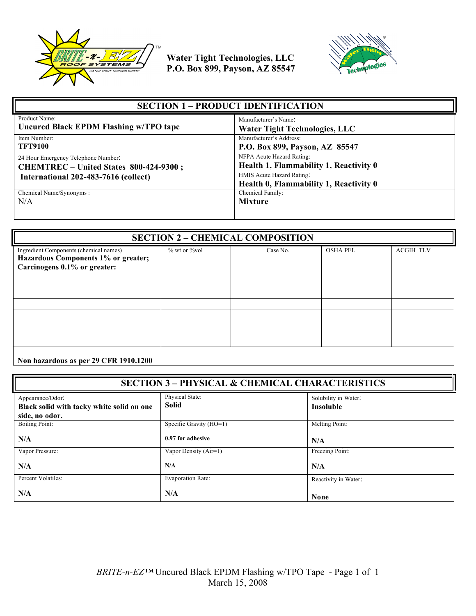



| <b>SECTION 1 – PRODUCT IDENTIFICATION</b>                                                                             |                                                                                                                                            |
|-----------------------------------------------------------------------------------------------------------------------|--------------------------------------------------------------------------------------------------------------------------------------------|
| Product Name:                                                                                                         | Manufacturer's Name:                                                                                                                       |
| Uncured Black EPDM Flashing w/TPO tape                                                                                | <b>Water Tight Technologies, LLC</b>                                                                                                       |
| Item Number:                                                                                                          | Manufacturer's Address:                                                                                                                    |
| <b>TFT9100</b>                                                                                                        | P.O. Box 899, Payson, AZ 85547                                                                                                             |
| 24 Hour Emergency Telephone Number:<br>CHEMTREC - United States 800-424-9300;<br>International 202-483-7616 (collect) | NFPA Acute Hazard Rating:<br>Health 1, Flammability 1, Reactivity 0<br>HMIS Acute Hazard Rating:<br>Health 0, Flammability 1, Reactivity 0 |
| Chemical Name/Synonyms:                                                                                               | Chemical Family:                                                                                                                           |
| N/A                                                                                                                   | <b>Mixture</b>                                                                                                                             |

| <b>SECTION 2 - CHEMICAL COMPOSITION</b>                                                                       |                     |          |                 |                  |
|---------------------------------------------------------------------------------------------------------------|---------------------|----------|-----------------|------------------|
| Ingredient Components (chemical names)<br>Hazardous Components 1% or greater;<br>Carcinogens 0.1% or greater: | $\%$ wt or $\%$ vol | Case No. | <b>OSHA PEL</b> | <b>ACGIH TLV</b> |
|                                                                                                               |                     |          |                 |                  |
|                                                                                                               |                     |          |                 |                  |
|                                                                                                               |                     |          |                 |                  |
|                                                                                                               |                     |          |                 |                  |

**Non hazardous as per 29 CFR 1910.1200**

| <b>SECTION 3 - PHYSICAL &amp; CHEMICAL CHARACTERISTICS</b>                      |                                 |                                          |
|---------------------------------------------------------------------------------|---------------------------------|------------------------------------------|
| Appearance/Odor:<br>Black solid with tacky white solid on one<br>side, no odor. | Physical State:<br><b>Solid</b> | Solubility in Water:<br><b>Insoluble</b> |
| <b>Boiling Point:</b>                                                           | Specific Gravity (HO=1)         | Melting Point:                           |
| N/A                                                                             | 0.97 for adhesive               | N/A                                      |
| Vapor Pressure:                                                                 | Vapor Density (Air=1)           | Freezing Point:                          |
| N/A                                                                             | N/A                             | N/A                                      |
| Percent Volatiles:                                                              | <b>Evaporation Rate:</b>        | Reactivity in Water:                     |
| N/A                                                                             | N/A                             | <b>None</b>                              |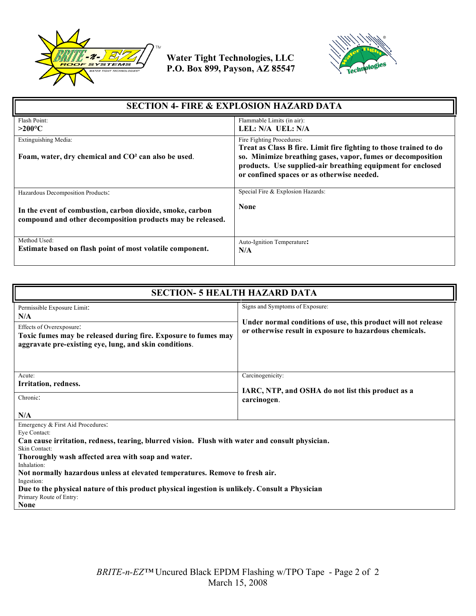



| <b>SECTION 4- FIRE &amp; EXPLOSION HAZARD DATA</b>                                                                      |                                                                                                                                                                                                                                                                            |  |
|-------------------------------------------------------------------------------------------------------------------------|----------------------------------------------------------------------------------------------------------------------------------------------------------------------------------------------------------------------------------------------------------------------------|--|
| Flash Point:<br>$>$ 200°C                                                                                               | Flammable Limits (in air):<br>LEL: N/A UEL: N/A                                                                                                                                                                                                                            |  |
| Extinguishing Media:<br>Foam, water, dry chemical and CO <sup>2</sup> can also be used.                                 | Fire Fighting Procedures:<br>Treat as Class B fire. Limit fire fighting to those trained to do<br>so. Minimize breathing gases, vapor, fumes or decomposition<br>products. Use supplied-air breathing equipment for enclosed<br>or confined spaces or as otherwise needed. |  |
| Hazardous Decomposition Products:                                                                                       | Special Fire & Explosion Hazards:                                                                                                                                                                                                                                          |  |
| In the event of combustion, carbon dioxide, smoke, carbon<br>compound and other decomposition products may be released. | <b>None</b>                                                                                                                                                                                                                                                                |  |
| Method Used:<br>Estimate based on flash point of most volatile component.                                               | Auto-Ignition Temperature:<br>N/A                                                                                                                                                                                                                                          |  |

| <b>SECTION- 5 HEALTH HAZARD DATA</b>                                                                                                                                                                                                                                                                                                                                                                                                                                                        |                                                                                                                                                             |  |
|---------------------------------------------------------------------------------------------------------------------------------------------------------------------------------------------------------------------------------------------------------------------------------------------------------------------------------------------------------------------------------------------------------------------------------------------------------------------------------------------|-------------------------------------------------------------------------------------------------------------------------------------------------------------|--|
| Permissible Exposure Limit:<br>N/A<br>Effects of Overexposure:<br>Toxic fumes may be released during fire. Exposure to fumes may<br>aggravate pre-existing eye, lung, and skin conditions.                                                                                                                                                                                                                                                                                                  | Signs and Symptoms of Exposure:<br>Under normal conditions of use, this product will not release<br>or otherwise result in exposure to hazardous chemicals. |  |
| Acute:<br>Irritation, redness.<br>Chronic:                                                                                                                                                                                                                                                                                                                                                                                                                                                  | Carcinogenicity:<br>IARC, NTP, and OSHA do not list this product as a<br>carcinogen.                                                                        |  |
| N/A<br>Emergency & First Aid Procedures:<br>Eye Contact:<br>Can cause irritation, redness, tearing, blurred vision. Flush with water and consult physician.<br>Skin Contact:<br>Thoroughly wash affected area with soap and water.<br>Inhalation:<br>Not normally hazardous unless at elevated temperatures. Remove to fresh air.<br>Ingestion:<br>Due to the physical nature of this product physical ingestion is unlikely. Consult a Physician<br>Primary Route of Entry:<br><b>None</b> |                                                                                                                                                             |  |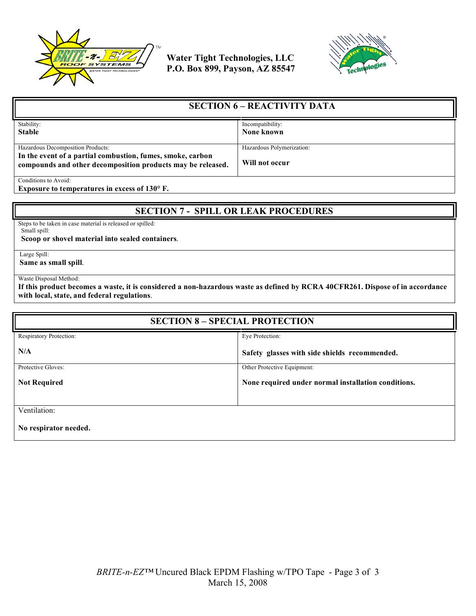



| <b>SECTION 6 – REACTIVITY DATA</b>                                                                                        |                           |
|---------------------------------------------------------------------------------------------------------------------------|---------------------------|
| Stability:                                                                                                                | Incompatibility:          |
| <b>Stable</b>                                                                                                             | None known                |
|                                                                                                                           |                           |
| Hazardous Decomposition Products:                                                                                         | Hazardous Polymerization: |
| In the event of a partial combustion, fumes, smoke, carbon<br>compounds and other decomposition products may be released. | Will not occur            |
| Conditions to Avoid:                                                                                                      |                           |

**Exposure to temperatures in excess of 130° F.**

## **SECTION 7 - SPILL OR LEAK PROCEDURES**

Steps to be taken in case material is released or spilled: Small spill:

 **Scoop or shovel material into sealed containers**.

Large Spill:

**Same as small spill**.

Waste Disposal Method:

**If this product becomes a waste, it is considered a non-hazardous waste as defined by RCRA 40CFR261. Dispose of in accordance with local, state, and federal regulations**.

| <b>SECTION 8 - SPECIAL PROTECTION</b> |                                                     |
|---------------------------------------|-----------------------------------------------------|
| Respiratory Protection:               | Eye Protection:                                     |
| N/A                                   | Safety glasses with side shields recommended.       |
| Protective Gloves:                    | Other Protective Equipment:                         |
| <b>Not Required</b>                   | None required under normal installation conditions. |
| Ventilation:                          |                                                     |
| No respirator needed.                 |                                                     |